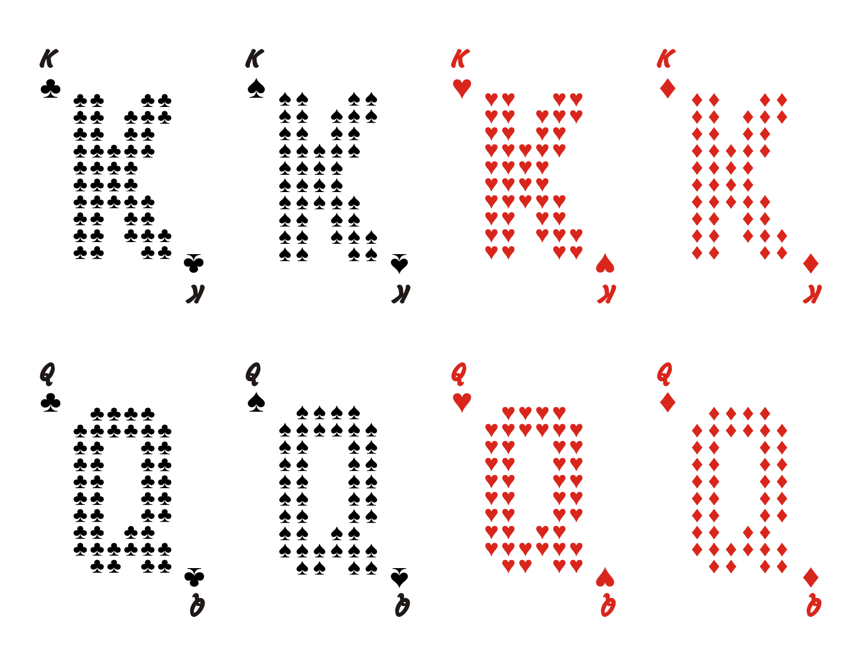

 $\boldsymbol{\phi}$  $\clubsuit\clubsuit$ **スター**  $\boldsymbol{\Phi}$ Y Y **2242** ድ<br>ድ  $\clubsuit$ Y Y V V  $\boldsymbol{\Phi} \boldsymbol{\Phi}$  $\frac{1}{2}$  $\clubsuit$  $\blacklozenge$ Y Y Y Y  $\blacklozenge$  $\overline{\mathbf{v}}$  $\overline{2}$  $\overline{\blacklozenge}$  $\blacklozenge$ Y Y  $\bar{\bullet}$  $\clubsuit \clubsuit$  $\blacklozenge$  $\blacklozenge$  $\boldsymbol{\Phi}$  $\blacklozenge$ Y Y V ( \*\*<br>\*\* ♣ ♠  $\frac{2}{2}$ <u>ድ</u><br>ቋ  $\blacklozenge$  $\blacklozenge$  $\blacklozenge$ y y  $\frac{2}{2}$ ☎  $\clubsuit$ Y Y  $\blacklozenge$  $\blacklozenge$ ♠ **v**¨∂ **Q**«

**Q**ª

**Q**©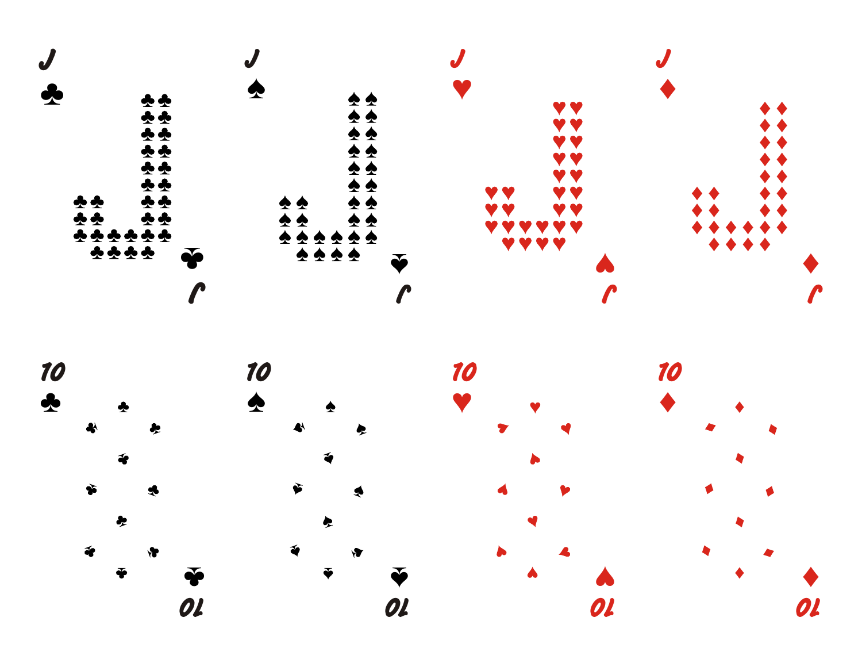

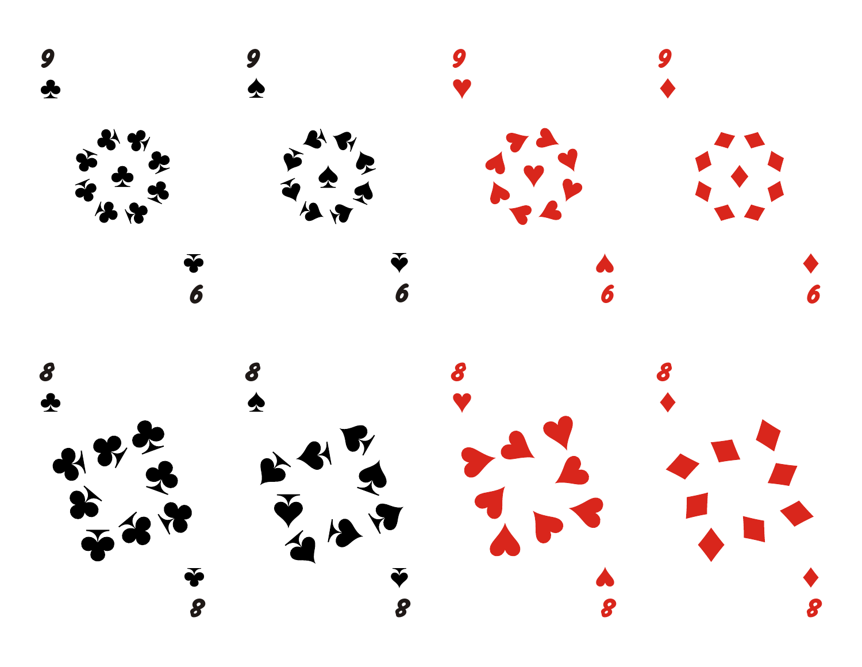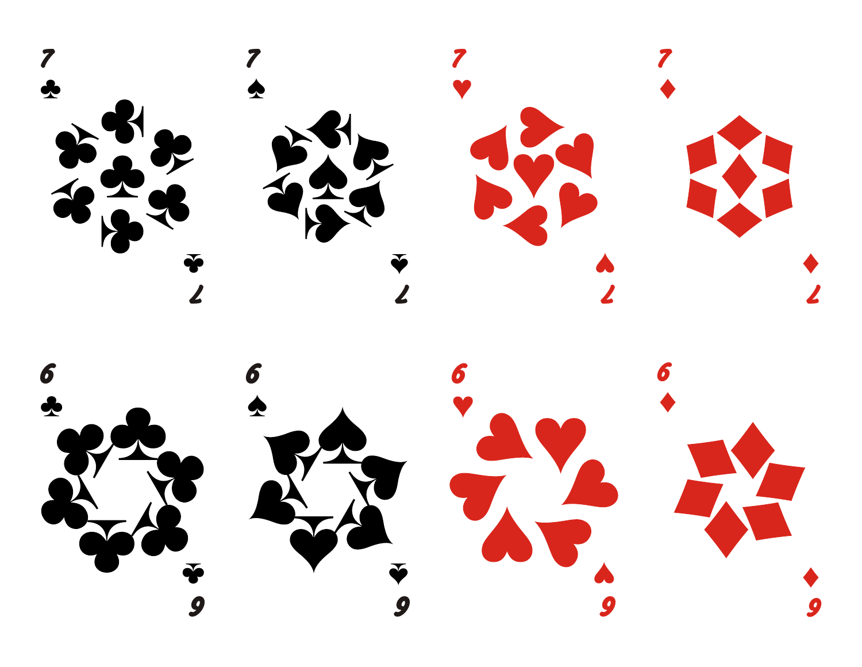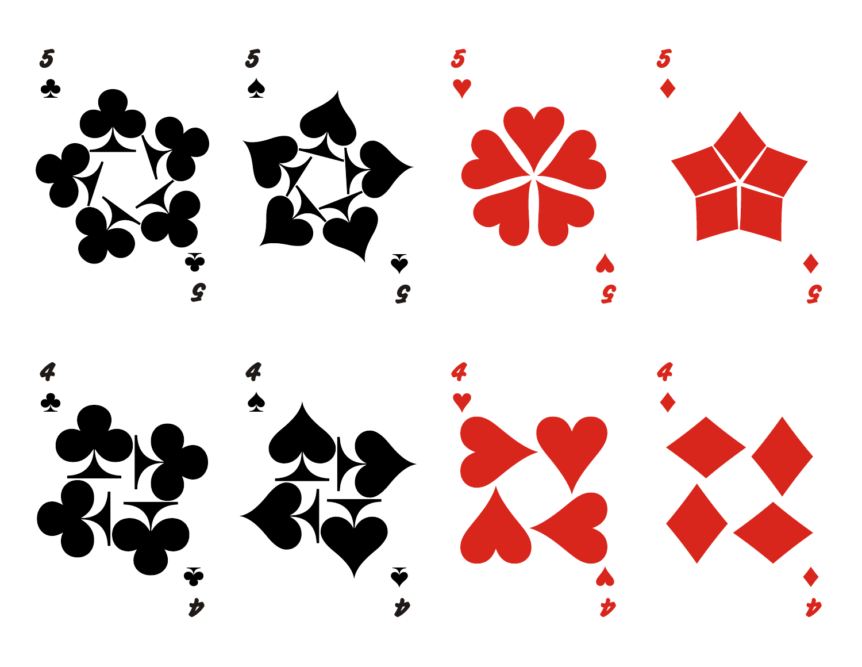





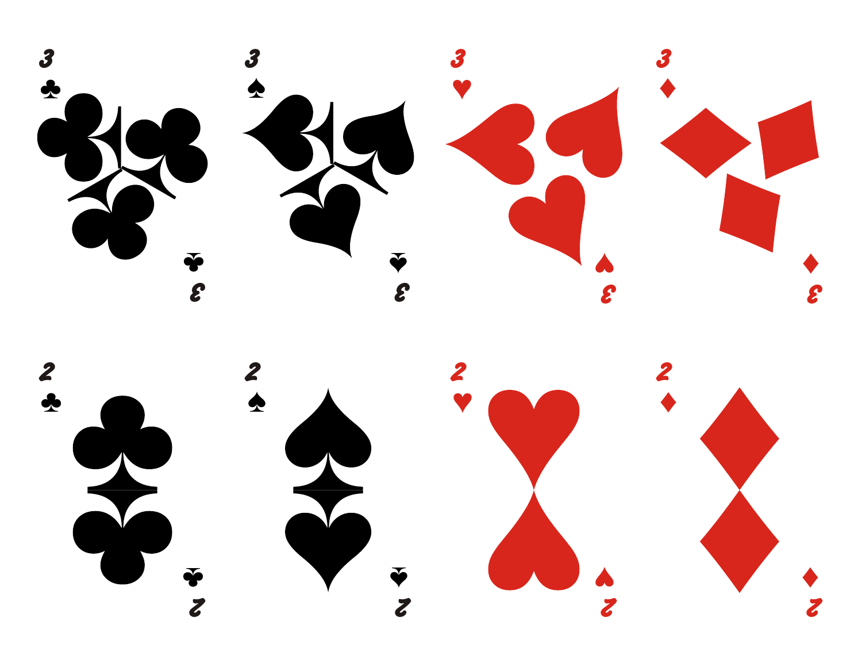